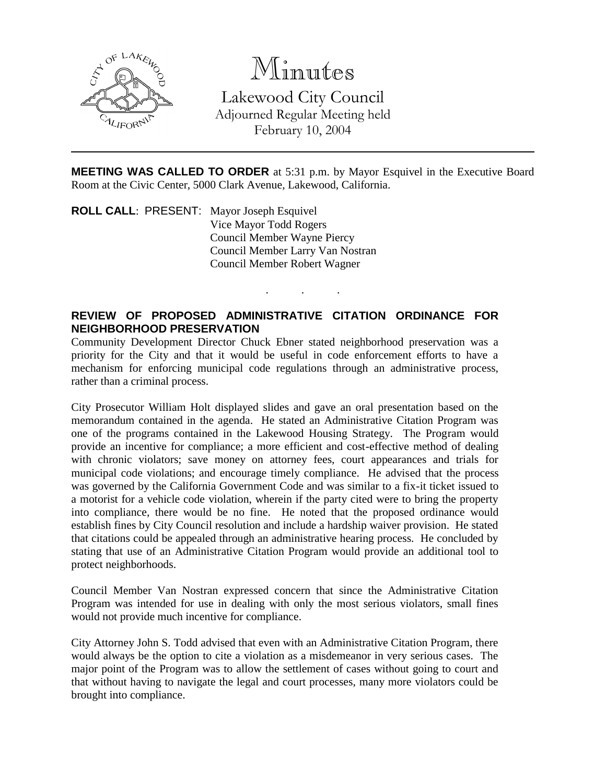

# Minutes

Lakewood City Council Adjourned Regular Meeting held February 10, 2004

**MEETING WAS CALLED TO ORDER** at 5:31 p.m. by Mayor Esquivel in the Executive Board Room at the Civic Center, 5000 Clark Avenue, Lakewood, California.

. . .

**ROLL CALL**: PRESENT: Mayor Joseph Esquivel Vice Mayor Todd Rogers Council Member Wayne Piercy Council Member Larry Van Nostran Council Member Robert Wagner

## **REVIEW OF PROPOSED ADMINISTRATIVE CITATION ORDINANCE FOR NEIGHBORHOOD PRESERVATION**

Community Development Director Chuck Ebner stated neighborhood preservation was a priority for the City and that it would be useful in code enforcement efforts to have a mechanism for enforcing municipal code regulations through an administrative process, rather than a criminal process.

City Prosecutor William Holt displayed slides and gave an oral presentation based on the memorandum contained in the agenda. He stated an Administrative Citation Program was one of the programs contained in the Lakewood Housing Strategy. The Program would provide an incentive for compliance; a more efficient and cost-effective method of dealing with chronic violators; save money on attorney fees, court appearances and trials for municipal code violations; and encourage timely compliance. He advised that the process was governed by the California Government Code and was similar to a fix-it ticket issued to a motorist for a vehicle code violation, wherein if the party cited were to bring the property into compliance, there would be no fine. He noted that the proposed ordinance would establish fines by City Council resolution and include a hardship waiver provision. He stated that citations could be appealed through an administrative hearing process. He concluded by stating that use of an Administrative Citation Program would provide an additional tool to protect neighborhoods.

Council Member Van Nostran expressed concern that since the Administrative Citation Program was intended for use in dealing with only the most serious violators, small fines would not provide much incentive for compliance.

City Attorney John S. Todd advised that even with an Administrative Citation Program, there would always be the option to cite a violation as a misdemeanor in very serious cases. The major point of the Program was to allow the settlement of cases without going to court and that without having to navigate the legal and court processes, many more violators could be brought into compliance.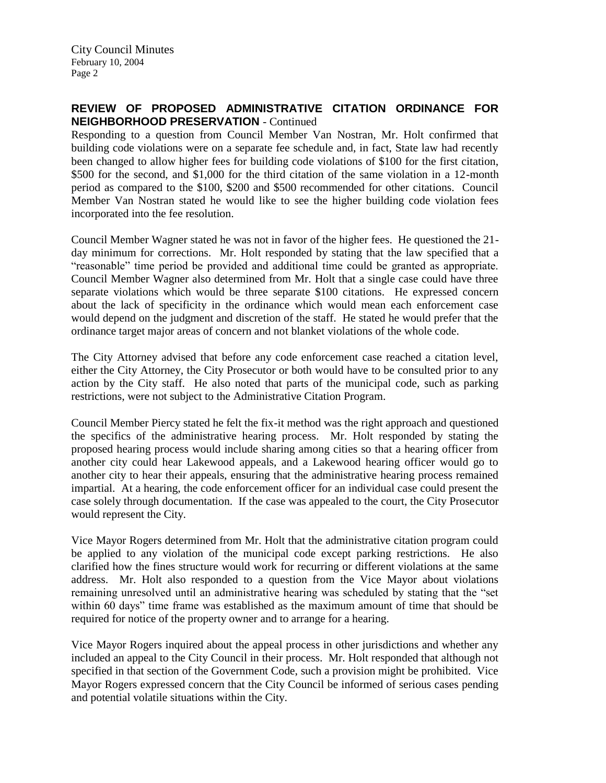### **REVIEW OF PROPOSED ADMINISTRATIVE CITATION ORDINANCE FOR NEIGHBORHOOD PRESERVATION** - Continued

Responding to a question from Council Member Van Nostran, Mr. Holt confirmed that building code violations were on a separate fee schedule and, in fact, State law had recently been changed to allow higher fees for building code violations of \$100 for the first citation, \$500 for the second, and \$1,000 for the third citation of the same violation in a 12-month period as compared to the \$100, \$200 and \$500 recommended for other citations. Council Member Van Nostran stated he would like to see the higher building code violation fees incorporated into the fee resolution.

Council Member Wagner stated he was not in favor of the higher fees. He questioned the 21 day minimum for corrections. Mr. Holt responded by stating that the law specified that a "reasonable" time period be provided and additional time could be granted as appropriate. Council Member Wagner also determined from Mr. Holt that a single case could have three separate violations which would be three separate \$100 citations. He expressed concern about the lack of specificity in the ordinance which would mean each enforcement case would depend on the judgment and discretion of the staff. He stated he would prefer that the ordinance target major areas of concern and not blanket violations of the whole code.

The City Attorney advised that before any code enforcement case reached a citation level, either the City Attorney, the City Prosecutor or both would have to be consulted prior to any action by the City staff. He also noted that parts of the municipal code, such as parking restrictions, were not subject to the Administrative Citation Program.

Council Member Piercy stated he felt the fix-it method was the right approach and questioned the specifics of the administrative hearing process. Mr. Holt responded by stating the proposed hearing process would include sharing among cities so that a hearing officer from another city could hear Lakewood appeals, and a Lakewood hearing officer would go to another city to hear their appeals, ensuring that the administrative hearing process remained impartial. At a hearing, the code enforcement officer for an individual case could present the case solely through documentation. If the case was appealed to the court, the City Prosecutor would represent the City.

Vice Mayor Rogers determined from Mr. Holt that the administrative citation program could be applied to any violation of the municipal code except parking restrictions. He also clarified how the fines structure would work for recurring or different violations at the same address. Mr. Holt also responded to a question from the Vice Mayor about violations remaining unresolved until an administrative hearing was scheduled by stating that the "set within 60 days" time frame was established as the maximum amount of time that should be required for notice of the property owner and to arrange for a hearing.

Vice Mayor Rogers inquired about the appeal process in other jurisdictions and whether any included an appeal to the City Council in their process. Mr. Holt responded that although not specified in that section of the Government Code, such a provision might be prohibited. Vice Mayor Rogers expressed concern that the City Council be informed of serious cases pending and potential volatile situations within the City.